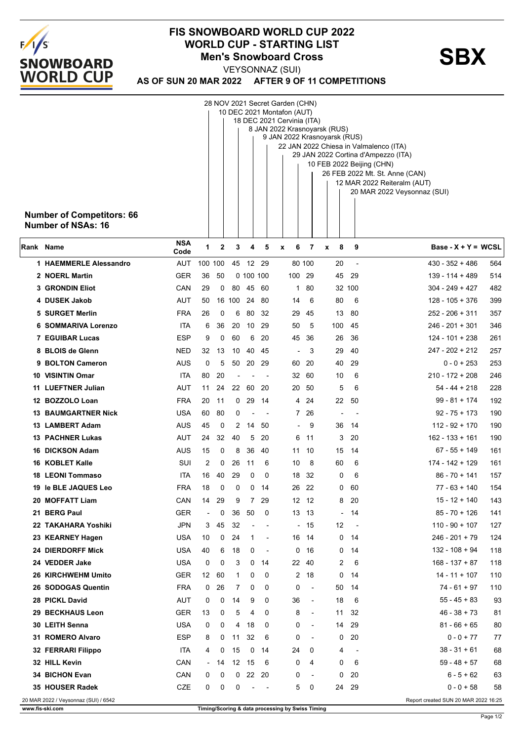

## **FIS SNOWBOARD WORLD CUP 2022** WORLD CUP - STARTING LIST<br>Men's Snowboard Cross<br>**SBX Men's Snowboard Cross**

VEYSONNAZ (SUI)

| AS OF SUN 20 MAR 2022  AFTER 9 OF 11 COMPETITIONS |
|---------------------------------------------------|
|                                                   |

| 28 NOV 2021 Secret Garden (CHN)      |                                                          |                                                                               |    |              |           |                          |                                                  |                          |        |                          |                                                            |     |  |  |
|--------------------------------------|----------------------------------------------------------|-------------------------------------------------------------------------------|----|--------------|-----------|--------------------------|--------------------------------------------------|--------------------------|--------|--------------------------|------------------------------------------------------------|-----|--|--|
|                                      | 10 DEC 2021 Montafon (AUT)<br>18 DEC 2021 Cervinia (ITA) |                                                                               |    |              |           |                          |                                                  |                          |        |                          |                                                            |     |  |  |
|                                      | 8 JAN 2022 Krasnoyarsk (RUS)                             |                                                                               |    |              |           |                          |                                                  |                          |        |                          |                                                            |     |  |  |
|                                      |                                                          | 9 JAN 2022 Krasnoyarsk (RUS)                                                  |    |              |           |                          |                                                  |                          |        |                          |                                                            |     |  |  |
|                                      |                                                          | 22 JAN 2022 Chiesa in Valmalenco (ITA)<br>29 JAN 2022 Cortina d'Ampezzo (ITA) |    |              |           |                          |                                                  |                          |        |                          |                                                            |     |  |  |
|                                      |                                                          | 10 FEB 2022 Beijing (CHN)                                                     |    |              |           |                          |                                                  |                          |        |                          |                                                            |     |  |  |
|                                      |                                                          |                                                                               |    |              |           |                          |                                                  |                          |        |                          | 26 FEB 2022 Mt. St. Anne (CAN)                             |     |  |  |
|                                      |                                                          |                                                                               |    |              |           |                          |                                                  |                          |        |                          | 12 MAR 2022 Reiteralm (AUT)<br>20 MAR 2022 Veysonnaz (SUI) |     |  |  |
|                                      |                                                          |                                                                               |    |              |           |                          |                                                  |                          |        |                          |                                                            |     |  |  |
| <b>Number of Competitors: 66</b>     |                                                          |                                                                               |    |              |           |                          |                                                  |                          |        |                          |                                                            |     |  |  |
| <b>Number of NSAs: 16</b>            |                                                          |                                                                               |    |              |           |                          |                                                  |                          |        |                          |                                                            |     |  |  |
|                                      | <b>NSA</b>                                               |                                                                               |    |              |           |                          |                                                  |                          |        |                          |                                                            |     |  |  |
| Rank Name                            | Code                                                     | 1                                                                             | 2  | 3            | 4         | 5                        | 6<br>x                                           | 7                        | 8<br>x | 9                        | Base - $X + Y = WCSL$                                      |     |  |  |
| 1 HAEMMERLE Alessandro               | AUT                                                      | 100 100                                                                       |    | 45           |           | 12 29                    |                                                  | 80 100                   | 20     | ÷,                       | 430 - 352 + 486                                            | 564 |  |  |
| 2 NOERL Martin                       | GER                                                      | 36                                                                            | 50 |              | 0 100 100 |                          |                                                  | 100 29                   | 45     | 29                       | 139 - 114 + 489                                            | 514 |  |  |
| <b>3 GRONDIN Eliot</b>               | CAN                                                      | 29                                                                            | 0  | 80           | 45        | -60                      | 1                                                | 80                       |        | 32 100                   | $304 - 249 + 427$                                          | 482 |  |  |
| 4 DUSEK Jakob                        | AUT                                                      | 50                                                                            |    | 16 100 24    |           | 80                       | 14                                               | 6                        | 80     | 6                        | $128 - 105 + 376$                                          | 399 |  |  |
| 5 SURGET Merlin                      | <b>FRA</b>                                               | 26                                                                            | 0  | 6            | 80        | 32                       | 29                                               | 45                       | 13     | 80                       | 252 - 206 + 311                                            | 357 |  |  |
| <b>6 SOMMARIVA Lorenzo</b>           | ita                                                      | 6                                                                             | 36 | 20           | 10        | -29                      | 50                                               | 5                        | 100    | 45                       | $246 - 201 + 301$                                          | 346 |  |  |
| <b>7 EGUIBAR Lucas</b>               | <b>ESP</b>                                               | 9                                                                             | 0  | 60           | 6         | 20                       | 45                                               | 36                       | 26     | 36                       | $124 - 101 + 238$                                          | 261 |  |  |
| 8 BLOIS de Glenn                     | <b>NED</b>                                               | 32                                                                            | 13 | 10           | 40        | 45                       | $\blacksquare$                                   | 3                        | 29     | 40                       | 247 - 202 + 212                                            | 257 |  |  |
| 9 BOLTON Cameron                     | AUS                                                      | 0                                                                             | 5  | 50           | 20        | 29                       |                                                  | 60 20                    | 40     | 29                       | $0 - 0 + 253$                                              | 253 |  |  |
| 10 VISINTIN Omar                     | ita                                                      | 80                                                                            | 20 |              |           |                          | 32                                               | 60                       | 10     | 6                        | $210 - 172 + 208$                                          | 246 |  |  |
| 11 LUEFTNER Julian                   | AUT                                                      | 11                                                                            | 24 | 22           | 60        | 20                       |                                                  | 20 50                    | 5      | 6                        | 54 - 44 + 218                                              | 228 |  |  |
| 12 BOZZOLO Loan                      | <b>FRA</b>                                               | 20                                                                            | 11 | $\mathbf{0}$ | 29        | 14                       |                                                  | 4 24                     | 22     | 50                       | $99 - 81 + 174$                                            | 192 |  |  |
| <b>13 BAUMGARTNER Nick</b>           | USA                                                      | 60                                                                            | 80 | 0            |           |                          |                                                  | $7^{\circ}$<br>26        |        |                          | $92 - 75 + 173$                                            | 190 |  |  |
| 13 LAMBERT Adam                      | AUS                                                      | 45                                                                            | 0  | 2            | 14        | 50                       |                                                  | 9                        | 36     | 14                       | $112 - 92 + 170$                                           | 190 |  |  |
| <b>13 PACHNER Lukas</b>              | AUT                                                      | 24                                                                            | 32 | 40           | 5         | 20                       | 6                                                | 11                       | 3      | 20                       | $162 - 133 + 161$                                          | 190 |  |  |
| <b>16 DICKSON Adam</b>               | AUS                                                      | 15                                                                            | 0  | 8            | 36        | 40                       | 11                                               | 10                       | 15     | 14                       | $67 - 55 + 149$                                            | 161 |  |  |
| 16 KOBLET Kalle                      | SUI                                                      | 2                                                                             | 0  | 26           | 11        | 6                        | 10                                               | 8                        | 60     | 6                        | 174 - 142 + 129                                            | 161 |  |  |
| 18 LEONI Tommaso                     | ita                                                      | 16                                                                            | 40 | 29           | 0         | 0                        | 18                                               | 32                       | 0      | 6                        | $86 - 70 + 141$                                            | 157 |  |  |
| 19 le BLE JAQUES Leo                 | <b>FRA</b>                                               | 18                                                                            | 0  | 0            | 0         | -14                      |                                                  | 26 22                    | 0      | 60                       | 77 - 63 + 140                                              | 154 |  |  |
| 20 MOFFATT Liam                      | CAN                                                      | 14                                                                            | 29 | 9            | 7         | 29                       |                                                  | 12 12                    | 8      | 20                       | $15 - 12 + 140$                                            | 143 |  |  |
| 21 BERG Paul                         | GER                                                      | $\overline{\phantom{a}}$                                                      | 0  | 36           | 50        | 0                        |                                                  | 13 13                    |        | 14                       | $85 - 70 + 126$                                            | 141 |  |  |
| 22 TAKAHARA Yoshiki                  | <b>JPN</b>                                               | 3                                                                             | 45 | 32           |           |                          |                                                  | - 15                     | 12     | $\overline{\phantom{a}}$ | $110 - 90 + 107$                                           | 127 |  |  |
| 23 KEARNEY Hagen                     | <b>USA</b>                                               | 10                                                                            | 0  | 24           | 1         | $\overline{\phantom{a}}$ |                                                  | 16 14                    | 0      | 14                       | $246 - 201 + 79$                                           | 124 |  |  |
| <b>24 DIERDORFF Mick</b>             | USA                                                      | 40                                                                            | 6  | 18           | 0         |                          | 0                                                | 16                       | 0      | 14                       | $132 - 108 + 94$                                           | 118 |  |  |
| 24 VEDDER Jake                       | <b>USA</b>                                               | 0                                                                             | 0  | 3            | 0         | 14                       |                                                  | 22 40                    | 2      | 6                        | $168 - 137 + 87$                                           | 118 |  |  |
| 26 KIRCHWEHM Umito                   | GER                                                      | 12 <sup>2</sup>                                                               | 60 | 1            | 0         | 0                        | $\mathbf{2}$                                     | 18                       | 0      | 14                       | $14 - 11 + 107$                                            | 110 |  |  |
| 26 SODOGAS Quentin                   | <b>FRA</b>                                               | 0                                                                             | 26 | 7            | 0         | 0                        | 0                                                | $\overline{\phantom{a}}$ | 50     | 14                       | $74 - 61 + 97$                                             | 110 |  |  |
| 28 PICKL David                       | <b>AUT</b>                                               | 0                                                                             | 0  | 14           | 9         | 0                        | 36                                               | $\overline{\phantom{a}}$ | 18     | 6                        | $55 - 45 + 83$                                             | 93  |  |  |
| 29 BECKHAUS Leon                     | <b>GER</b>                                               | 13                                                                            | 0  | 5            | 4         | 0                        | 8                                                | $\overline{\phantom{a}}$ | 11     | 32                       | $46 - 38 + 73$                                             | 81  |  |  |
| 30 LEITH Senna                       | <b>USA</b>                                               | 0                                                                             | 0  | 4            | 18        | 0                        | 0                                                | $\overline{\phantom{a}}$ | 14     | 29                       | $81 - 66 + 65$                                             | 80  |  |  |
| 31 ROMERO Alvaro                     | <b>ESP</b>                                               | 8                                                                             | 0  | 11           | 32        | 6                        | 0                                                | $\overline{\phantom{a}}$ | 0      | 20                       | $0 - 0 + 77$                                               | 77  |  |  |
| 32 FERRARI Filippo                   | ITA                                                      | 4                                                                             | 0  | 15           | 0         | 14                       | 24                                               | 0                        | 4      | ÷,                       | $38 - 31 + 61$                                             | 68  |  |  |
| 32 HILL Kevin                        | CAN                                                      | $\overline{\phantom{a}}$                                                      | 14 | 12           | 15        | 6                        | 0                                                | 4                        | 0      | 6                        | $59 - 48 + 57$                                             | 68  |  |  |
| 34 BICHON Evan                       | CAN                                                      | 0                                                                             | 0  | $\mathbf{0}$ |           | 22 20                    | 0                                                | $\overline{\phantom{a}}$ | 0      | 20                       | $6 - 5 + 62$                                               | 63  |  |  |
| 35 HOUSER Radek                      | CZE                                                      | 0                                                                             | 0  | 0            |           | $\overline{\phantom{a}}$ | 5                                                | 0                        | 24     | 29                       | $0 - 0 + 58$                                               | 58  |  |  |
| 20 MAR 2022 / Veysonnaz (SUI) / 6542 |                                                          |                                                                               |    |              |           |                          |                                                  |                          |        |                          | Report created SUN 20 MAR 2022 16:25                       |     |  |  |
| www.fis-ski.com                      |                                                          |                                                                               |    |              |           |                          | Timing/Scoring & data processing by Swiss Timing |                          |        |                          |                                                            |     |  |  |